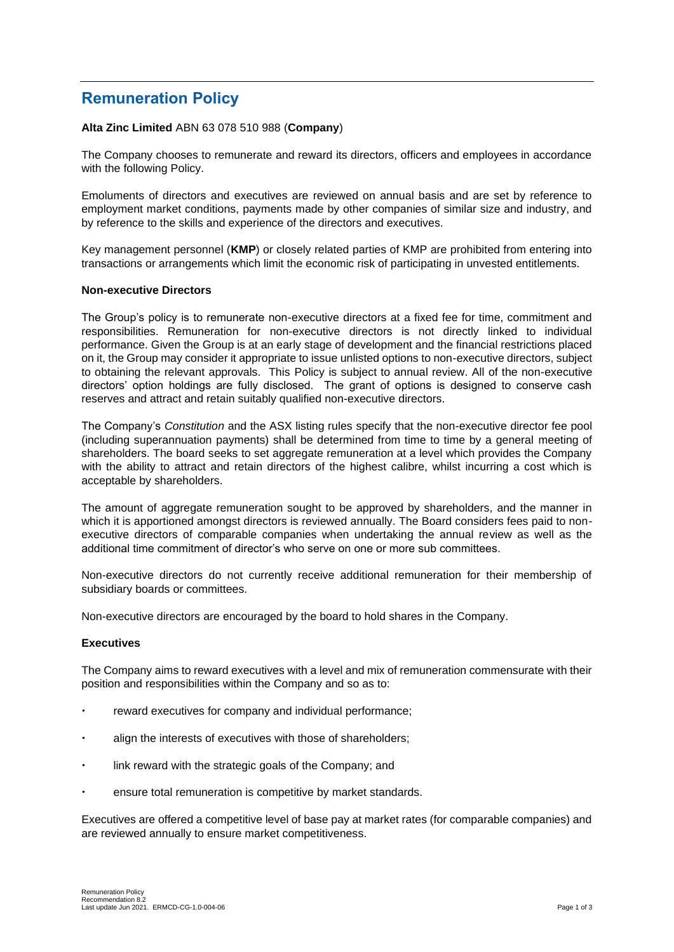# **Remuneration Policy**

# **Alta Zinc Limited** ABN 63 078 510 988 (**Company**)

The Company chooses to remunerate and reward its directors, officers and employees in accordance with the following Policy.

Emoluments of directors and executives are reviewed on annual basis and are set by reference to employment market conditions, payments made by other companies of similar size and industry, and by reference to the skills and experience of the directors and executives.

Key management personnel (**KMP**) or closely related parties of KMP are prohibited from entering into transactions or arrangements which limit the economic risk of participating in unvested entitlements.

# **Non-executive Directors**

The Group's policy is to remunerate non-executive directors at a fixed fee for time, commitment and responsibilities. Remuneration for non-executive directors is not directly linked to individual performance. Given the Group is at an early stage of development and the financial restrictions placed on it, the Group may consider it appropriate to issue unlisted options to non-executive directors, subject to obtaining the relevant approvals. This Policy is subject to annual review. All of the non-executive directors' option holdings are fully disclosed. The grant of options is designed to conserve cash reserves and attract and retain suitably qualified non-executive directors.

The Company's *Constitution* and the ASX listing rules specify that the non-executive director fee pool (including superannuation payments) shall be determined from time to time by a general meeting of shareholders. The board seeks to set aggregate remuneration at a level which provides the Company with the ability to attract and retain directors of the highest calibre, whilst incurring a cost which is acceptable by shareholders.

The amount of aggregate remuneration sought to be approved by shareholders, and the manner in which it is apportioned amongst directors is reviewed annually. The Board considers fees paid to nonexecutive directors of comparable companies when undertaking the annual review as well as the additional time commitment of director's who serve on one or more sub committees.

Non-executive directors do not currently receive additional remuneration for their membership of subsidiary boards or committees.

Non-executive directors are encouraged by the board to hold shares in the Company.

## **Executives**

The Company aims to reward executives with a level and mix of remuneration commensurate with their position and responsibilities within the Company and so as to:

- reward executives for company and individual performance;
- align the interests of executives with those of shareholders;
- link reward with the strategic goals of the Company; and
- ensure total remuneration is competitive by market standards.

Executives are offered a competitive level of base pay at market rates (for comparable companies) and are reviewed annually to ensure market competitiveness.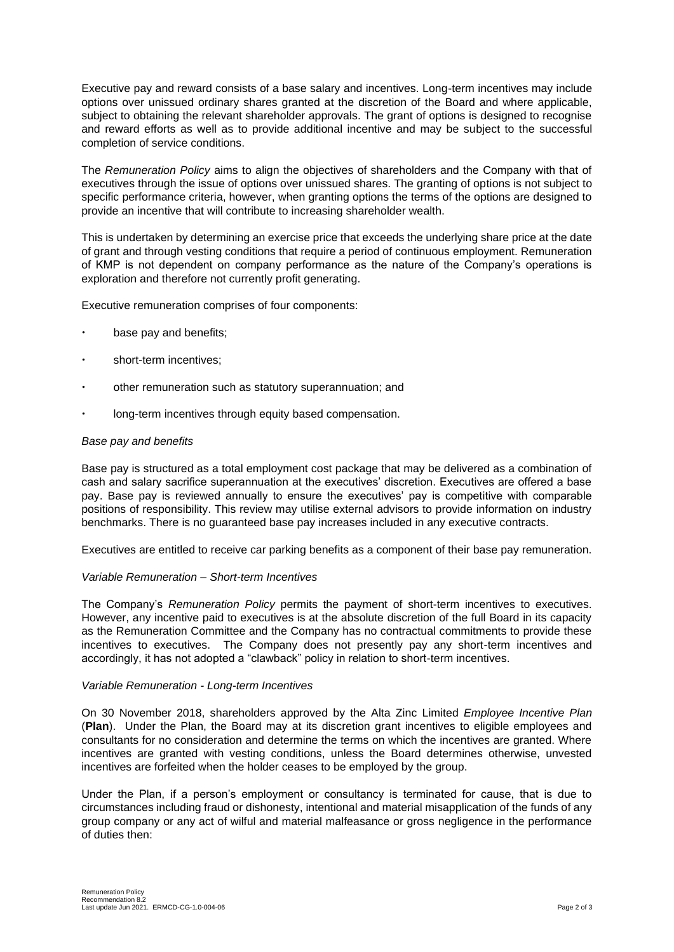Executive pay and reward consists of a base salary and incentives. Long-term incentives may include options over unissued ordinary shares granted at the discretion of the Board and where applicable, subject to obtaining the relevant shareholder approvals. The grant of options is designed to recognise and reward efforts as well as to provide additional incentive and may be subject to the successful completion of service conditions.

The *Remuneration Policy* aims to align the objectives of shareholders and the Company with that of executives through the issue of options over unissued shares. The granting of options is not subject to specific performance criteria, however, when granting options the terms of the options are designed to provide an incentive that will contribute to increasing shareholder wealth.

This is undertaken by determining an exercise price that exceeds the underlying share price at the date of grant and through vesting conditions that require a period of continuous employment. Remuneration of KMP is not dependent on company performance as the nature of the Company's operations is exploration and therefore not currently profit generating.

Executive remuneration comprises of four components:

- base pay and benefits;
- short-term incentives;
- other remuneration such as statutory superannuation; and
- long-term incentives through equity based compensation.

## *Base pay and benefits*

Base pay is structured as a total employment cost package that may be delivered as a combination of cash and salary sacrifice superannuation at the executives' discretion. Executives are offered a base pay. Base pay is reviewed annually to ensure the executives' pay is competitive with comparable positions of responsibility. This review may utilise external advisors to provide information on industry benchmarks. There is no guaranteed base pay increases included in any executive contracts.

Executives are entitled to receive car parking benefits as a component of their base pay remuneration.

## *Variable Remuneration – Short-term Incentives*

The Company's *Remuneration Policy* permits the payment of short-term incentives to executives. However, any incentive paid to executives is at the absolute discretion of the full Board in its capacity as the Remuneration Committee and the Company has no contractual commitments to provide these incentives to executives. The Company does not presently pay any short-term incentives and accordingly, it has not adopted a "clawback" policy in relation to short-term incentives.

## *Variable Remuneration - Long-term Incentives*

On 30 November 2018, shareholders approved by the Alta Zinc Limited *Employee Incentive Plan* (**Plan**). Under the Plan, the Board may at its discretion grant incentives to eligible employees and consultants for no consideration and determine the terms on which the incentives are granted. Where incentives are granted with vesting conditions, unless the Board determines otherwise, unvested incentives are forfeited when the holder ceases to be employed by the group.

Under the Plan, if a person's employment or consultancy is terminated for cause, that is due to circumstances including fraud or dishonesty, intentional and material misapplication of the funds of any group company or any act of wilful and material malfeasance or gross negligence in the performance of duties then: